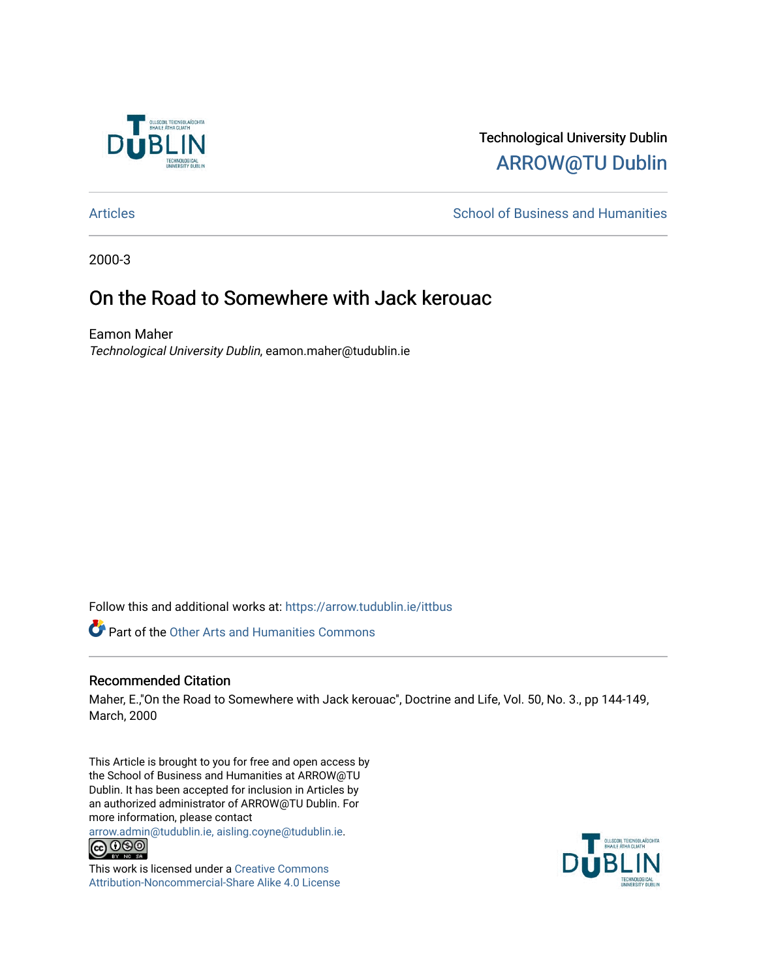

## Technological University Dublin [ARROW@TU Dublin](https://arrow.tudublin.ie/)

[Articles](https://arrow.tudublin.ie/ittbus) **School of Business and Humanities** School of Business and Humanities

2000-3

## On the Road to Somewhere with Jack kerouac

Eamon Maher Technological University Dublin, eamon.maher@tudublin.ie

Follow this and additional works at: [https://arrow.tudublin.ie/ittbus](https://arrow.tudublin.ie/ittbus?utm_source=arrow.tudublin.ie%2Fittbus%2F26&utm_medium=PDF&utm_campaign=PDFCoverPages)

**Part of the Other Arts and Humanities Commons** 

### Recommended Citation

Maher, E.,"On the Road to Somewhere with Jack kerouac", Doctrine and Life, Vol. 50, No. 3., pp 144-149, March, 2000

This Article is brought to you for free and open access by the School of Business and Humanities at ARROW@TU Dublin. It has been accepted for inclusion in Articles by an authorized administrator of ARROW@TU Dublin. For more information, please contact

[arrow.admin@tudublin.ie, aisling.coyne@tudublin.ie](mailto:arrow.admin@tudublin.ie,%20aisling.coyne@tudublin.ie).<br>
© 0 9 9 1



This work is licensed under a [Creative Commons](http://creativecommons.org/licenses/by-nc-sa/4.0/) [Attribution-Noncommercial-Share Alike 4.0 License](http://creativecommons.org/licenses/by-nc-sa/4.0/)

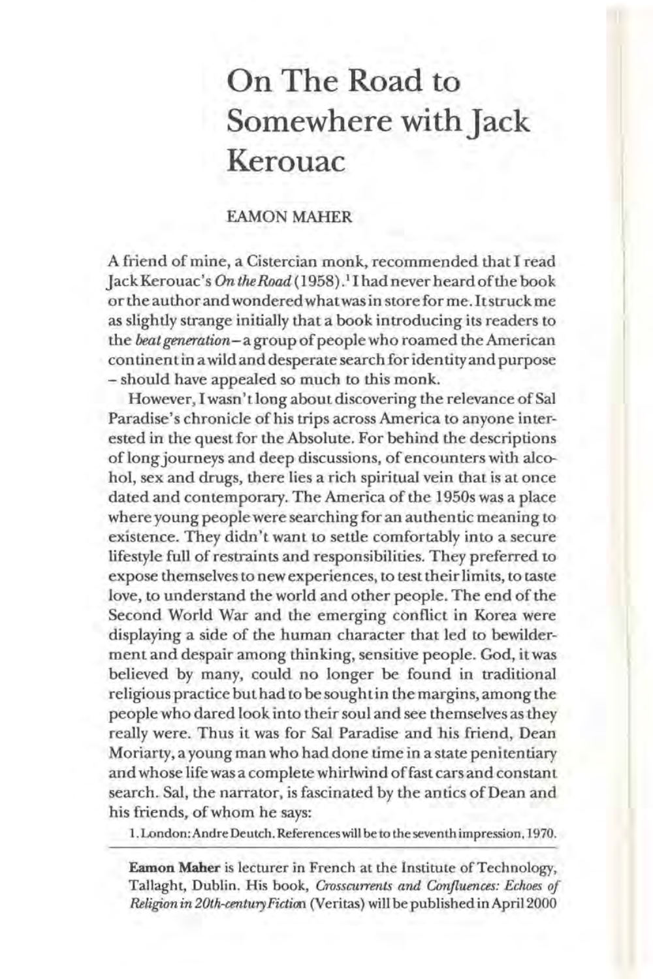# **On The Road to Somewhere with jack Kerouac**

#### EAMON MAHER

A friend of mine, a Cistercian monk, recommended that I read JackKerouac's *OntheRoad(1958).* <sup>1</sup>Ihadneverheardofthe book or the author and wondered what was in store for me. It struck me as slightly strange initially that a book introducing its readers to the *beat generation-* a group of people who roamed the American continent in a wild and desperate search for identity and purpose - should have appealed so much to this monk.

However, I wasn't long about discovering the relevance of Sal Paradise's chronicle of his trips across America to anyone interested in the quest for the Absolute. For behind the descriptions of long journeys and deep discussions, of encounters with alcohol, sex and drugs, there lies a rich spiritual vein that is at once dated and contemporary. The America of the 1950s was a place where young people were searching for an authentic meaning to existence. They didn't want to settle comfortably into a secure lifestyle full of restraints and responsibilities. They preferred to expose themselves to new experiences, to test their limits, to taste love, to understand the world and other people. The end of the Second World War and the emerging conflict in Korea were displaying a side of the human character that led to bewilderment and despair among thinking, sensitive people. God, it was believed by many, could no longer be found in traditional religious practice but had to be sought in the margins, among the people who dared look in to their soul and see themselves as they really were. Thus it was for Sal Paradise and his friend, Dean Moriarty, a young man who had done time in a state penitentiary and whose life was a complete whirlwind offast cars and constant search. Sal, the narrator, is fascinated by the antics of Dean and his friends, of whom he says:

1. London: Andre Deutch. References will be to the seventh impression, 1970.

Eamon Maher is lecturer in French at the Institute of Technology, Tallaght, Dublin. His book, *Crosscurrents and Confluences: Echoes of Religion in 20th-centuryFictioo* (Veritas) will be published in April2000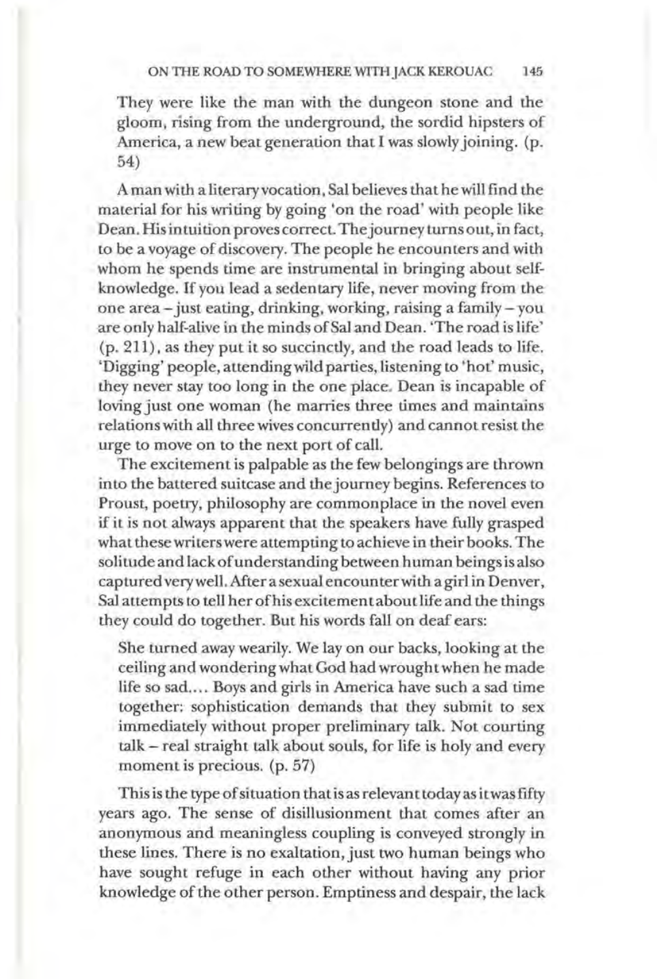They were like the man with the dungeon stone and the gloom, rising from the underground, the sordid hipsters of America, a new beat generation that I was slowly joining. (p. 54)

A man with a literary vocation, Sal believes that he will find the material for his writing by going 'on the road' with people like Dean. His intuition proves correct. The journey turns out, in fact, to be a voyage of discovery. The people he encounters and with whom he spends time are instrumental in bringing about selfknowledge. If you lead a sedentary life, never moving from the one area-just eating, drinking, working, raising a family- you are only half-alive in the minds of Sal and Dean. 'The road is life' (p. 211), as they put it so succinctly, and the road leads to life. 'Digging' people, attending wild parties, listening to 'hot' music, they never stay too long in the one place. Dean is incapable of loving just one woman (he marries three times and maintains relations with all three wives concurrently) and cannot resist the urge to move on to the next port of call.

The excitement is palpable as the few belongings are thrown into the battered suitcase and the journey begins. References to Proust, poetry, philosophy are commonplace in the novel even if it is not always apparent that the speakers have fully grasped what these writers were attempting to achieve in their books. The solitude and lack of understanding between human beings is also captured very well. Mter a sexual encounter with a girl in Denver, Sal attempts to tell her of his excitement about life and the things they could do together. But his words fall on deaf ears:

She turned away wearily. We lay on our backs, looking at the ceiling and wondering what God had wrought when he made life so sad.... Boys and girls in America have such a sad time together: sophistication demands that they submit to sex immediately without proper preliminary talk. Not courting talk- real straight talk about souls, for life is holy and every moment is precious. (p. 57)

This is the type of situation that is as relevant today as it was fifty years ago. The sense of disillusionment that comes after an anonymous and meaningless coupling is conveyed strongly in these lines. There is no exaltation, just two human beings who have sought refuge in each other without having any prior knowledge of the other person. Emptiness and despair, the lack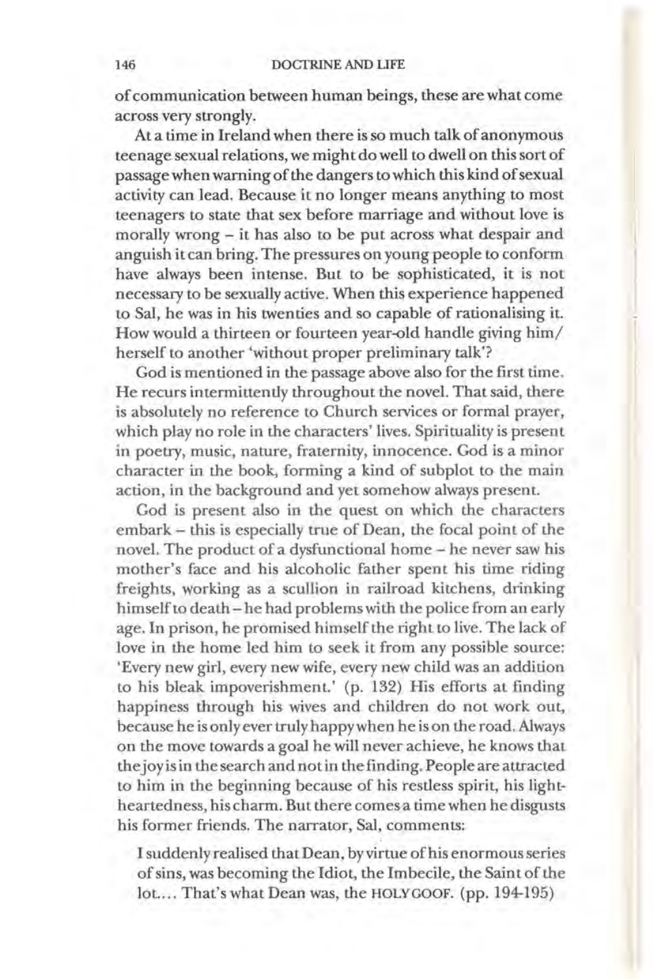#### 146 DOCTRINE AND LIFE

of communication between human beings, these are what come across very strongly.

At a time in Ireland when there is so much talk of anonymous teenage sexual relations, we might do well to dwell on this sort of passage when warning of the dangers to which this kind of sexual activity can lead. Because it no longer means anything to most teenagers to state that sex before marriage and without love is morally wrong - it has also to be put across what despair and anguish it can bring. The pressures on young people to conform have always been intense. But to be sophisticated, it is not necessary to be sexually active. When this experience happened to Sal, he was in his twenties and so capable of rationalising it. How would a thirteen or fourteen year-old handle giving him/ herself to another 'without proper preliminary talk'?

God is mentioned in the passage above also for the first time. He recurs intermittently throughout the novel. That said, there is absolutely no reference to Church services or formal prayer, which play no role in the characters' lives. Spirituality is present in poetry, music, nature, fraternity, innocence. God is a minor character in the book, forming a kind of subplot to the main action, in the background and yet somehow always present.

God is present also in the quest on which the characters embark- this is especially true of Dean, the focal point of the novel. The product of a dysfunctional home - he never saw his mother's face and his alcoholic father spent his time riding freights, working as a scullion in railroad kitchens, drinking himself to death- he had problems with the police from an early age. In prison, he promised himself the right to live. The lack of love in the home led him to seek it from any possible source: 'Every new girl, every new wife, every new child was an addition to his bleak impoverishment.' (p. 132) His efforts at finding happiness through his wives and children do not work out, because he is only ever truly happy when he is on the road. Always on the move towards a goal he will never achieve, he knows that the joy is in the search and not in the finding. People are attracted to him in the beginning because of his restless spirit, his lightheartedness, his charm. But there comes a time when he disgusts his former friends. The narrator, Sal, comments:

I suddenly realised that Dean, by virtue of his enormous series of sins, was becoming the Idiot, the Imbecile, the Saint of the lot.... That's what Dean was, the HOLY GOOF. (pp. 194-195)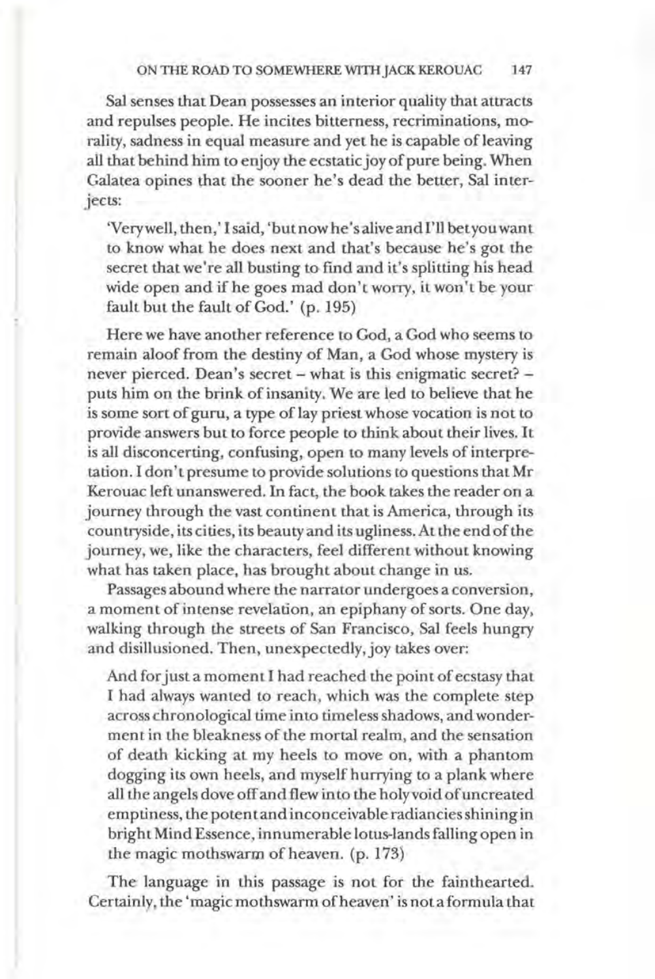#### ON THE ROAD TO SOMEWHERE WITH JACK KEROUAC 147

Sal senses that Dean possesses an interior quality that attracts and repulses people. He incites bitterness, recriminations, morality, sadness in equal measure and yet he is capable of leaving all that behind him to enjoy the ecstatic joy of pure being. When Galatea opines that the sooner he's dead the better, Sal interjects:

'Very well, then,' I said, 'but now he's alive and I'll bet you want to know what he does next and that's because he's got the secret that we're all busting to find and it's splitting his head wide open and if he goes mad don't worry, it won't be your fault but the fault of God.' (p. 195)

Here we have another reference to God, a God who seems to remain aloof from the destiny of Man, a God whose mystery is never pierced. Dean's secret- what is this enigmatic secret? puts him on the brink of insanity. We are led to believe that he is some sort of guru, a type of lay priest whose vocation is not to provide answers but to force people to think about their lives. It is all disconcerting, confusing, open to many levels of interpretation. I don't presume to provide solutions to questions that Mr Kerouac left unanswered. In fact, the book takes the reader on a journey through the vast continent that is America, through its countryside, its cities, its beauty and its ugliness. At the end of the journey, we, like the characters, feel different without knowing what has taken place, has brought about change in us.

Passages abound where the narrator undergoes a conversion, a moment of intense revelation, an epiphany of sorts. One day, walking through the streets of San Francisco, Sal feels hungry and disillusioned. Then, unexpectedly, joy takes over:

And for just a moment I had reached the point of ecstasy that I had always wanted to reach, which was the complete step across chronological time into timeless shadows, and wonderment in the bleakness of the mortal realm, and the sensation of death kicking at my heels to move on, with a phantom dogging its own heels, and myself hurrying to a plank where all the angels dove off and flew into the holy void of uncreated emptiness, the potent and inconceivable radiancies shining in bright Mind Essence, innumerable lotus-lands falling open in the magic mothswarm of heaven. (p. 173)

The language in this passage is not for the fainthearted. Certainly, the 'magic moth swarm of heaven' is not a formula that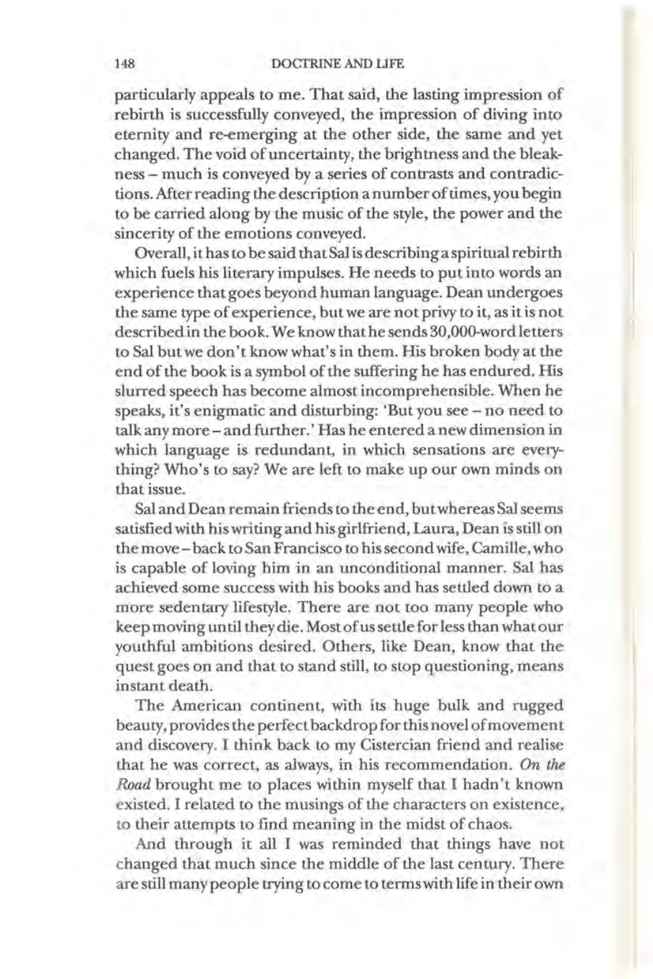#### 148 DOCTRINE AND LIFE

particularly appeals to me. That said, the lasting impression of rebirth is successfully conveyed, the impression of diving into eternity and re-emerging at the other side, the same and yet changed. The void of uncertainty, the brightness and the bleakness- much is conveyed by a series of contrasts and contradictions. Mter reading the description a number of times, you begin to be carried along by the music of the style, the power and the sincerity of the emotions conveyed.

Overall, it has to be said that Sal is describing a spiritual rebirth which fuels his literary impulses. He needs to put into words an experience that goes beyond human language. Dean undergoes the same type of experience, but we are not privy to it, as it is not described in the book. We know that he sends 30,000-word letters to Sal but we don't know what's in them. His broken body at the end of the book is a symbol of the suffering he has endured. His slurred speech has become almost incomprehensible. When he speaks, it's enigmatic and disturbing: 'But you see- no need to talk any more- and further.' Has he entered a new dimension in which language is redundant, in which sensations are everything? Who's to say? We are left to make up our own minds on that issue.

Sal and Dean remain friends to the end, but whereas Sal seems satisfied with his writing and his girlfriend, Laura, Dean is still on the move- back to San Francisco to his second wife, Camille, who is capable of loving him in an unconditional manner. Sal has achieved some success with his books and has settled down to a more sedentary lifestyle. There are not too many people who keep moving until they die. Most of us settle for less than what our youthful ambitions desired. Others, like Dean, know that the quest goes on and that to stand still, to stop questioning, means instant death.

The American continent, with its huge bulk and rugged beauty, provides the perfect backdrop for this novel of movement and discovery. I think back to my Cistercian friend and realise that he was correct, as always, in his recommendation. *On the Road* brought me to places within myself that I hadn't known existed. I related to the musings of the characters on existence, to their attempts to find meaning in the midst of chaos.

And through it all I was reminded that things have not changed that much since the middle of the last century. There are still many people trying to come to terms with life in their own